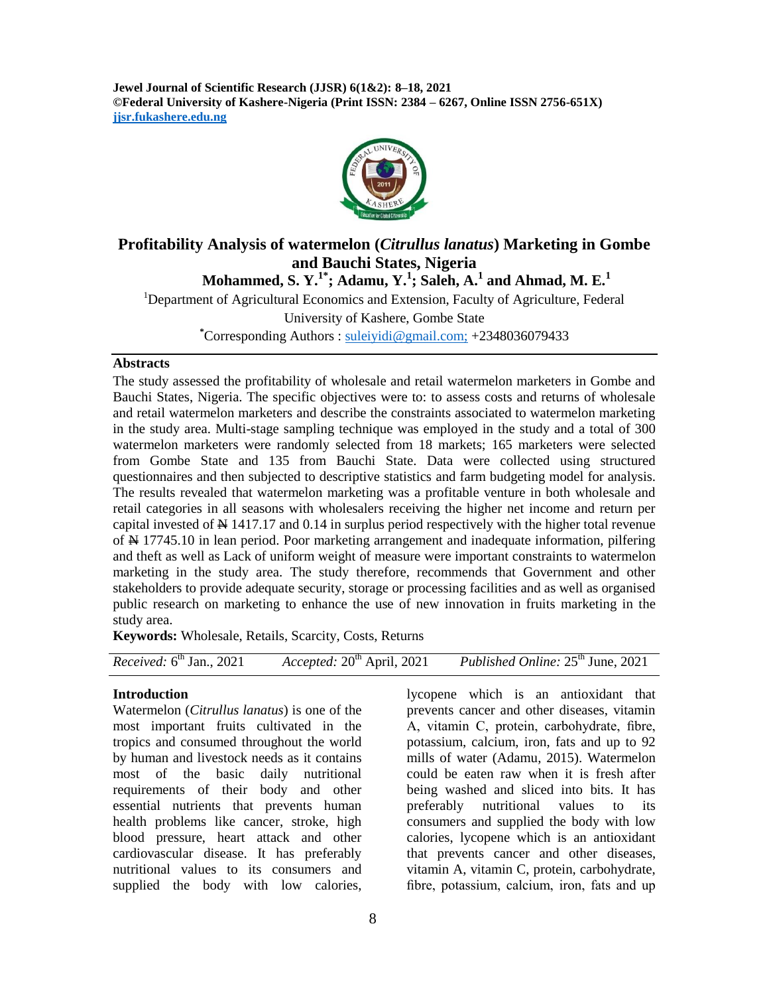**Jewel Journal of Scientific Research (JJSR) 6(1&2): 8–18, 2021 ©Federal University of Kashere-Nigeria (Print ISSN: 2384 – 6267, Online ISSN 2756-651X) jjsr.fukashere.edu.ng**



# **Profitability Analysis of watermelon (***Citrullus lanatus***) Marketing in Gombe and Bauchi States, Nigeria**

**Mohammed, S. Y.1\*; Adamu, Y.<sup>1</sup> ; Saleh, A.<sup>1</sup> and Ahmad, M. E.<sup>1</sup>**

<sup>1</sup>Department of Agricultural Economics and Extension, Faculty of Agriculture, Federal University of Kashere, Gombe State

**\***Corresponding Authors : [suleiyidi@gmail.com;](mailto:suleiyidi@gmail.com) +2348036079433

### **Abstracts**

The study assessed the profitability of wholesale and retail watermelon marketers in Gombe and Bauchi States, Nigeria. The specific objectives were to: to assess costs and returns of wholesale and retail watermelon marketers and describe the constraints associated to watermelon marketing in the study area. Multi-stage sampling technique was employed in the study and a total of 300 watermelon marketers were randomly selected from 18 markets; 165 marketers were selected from Gombe State and 135 from Bauchi State. Data were collected using structured questionnaires and then subjected to descriptive statistics and farm budgeting model for analysis. The results revealed that watermelon marketing was a profitable venture in both wholesale and retail categories in all seasons with wholesalers receiving the higher net income and return per capital invested of  $\frac{N}{N}$  1417.17 and 0.14 in surplus period respectively with the higher total revenue of  $\leftrightarrow$  17745.10 in lean period. Poor marketing arrangement and inadequate information, pilfering and theft as well as Lack of uniform weight of measure were important constraints to watermelon marketing in the study area. The study therefore, recommends that Government and other stakeholders to provide adequate security, storage or processing facilities and as well as organised public research on marketing to enhance the use of new innovation in fruits marketing in the study area.

**Keywords:** Wholesale, Retails, Scarcity, Costs, Returns

| <i>Received:</i> $6th$ Jan., 2021<br>Accepted: $20th$ April, 2021 | <i>Published Online:</i> 25 <sup>th</sup> June, 2021 |
|-------------------------------------------------------------------|------------------------------------------------------|
|-------------------------------------------------------------------|------------------------------------------------------|

## **Introduction**

Watermelon (*Citrullus lanatus*) is one of the most important fruits cultivated in the tropics and consumed throughout the world by human and livestock needs as it contains most of the basic daily nutritional requirements of their body and other essential nutrients that prevents human health problems like cancer, stroke, high blood pressure, heart attack and other cardiovascular disease. It has preferably nutritional values to its consumers and supplied the body with low calories,

lycopene which is an antioxidant that prevents cancer and other diseases, vitamin A, vitamin C, protein, carbohydrate, fibre, potassium, calcium, iron, fats and up to 92 mills of water (Adamu, 2015). Watermelon could be eaten raw when it is fresh after being washed and sliced into bits. It has preferably nutritional values to its consumers and supplied the body with low calories, lycopene which is an antioxidant that prevents cancer and other diseases, vitamin A, vitamin C, protein, carbohydrate, fibre, potassium, calcium, iron, fats and up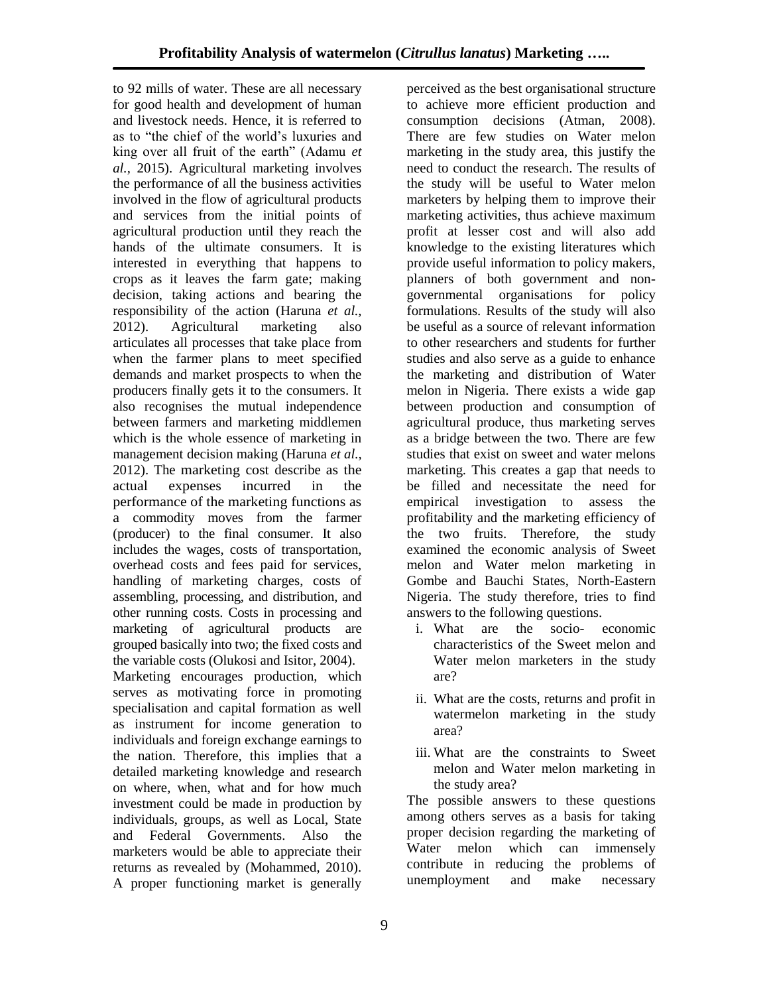to 92 mills of water. These are all necessary for good health and development of human and livestock needs. Hence, it is referred to as to "the chief of the world's luxuries and king over all fruit of the earth" (Adamu *et al.,* 2015). Agricultural marketing involves the performance of all the business activities involved in the flow of agricultural products and services from the initial points of agricultural production until they reach the hands of the ultimate consumers. It is interested in everything that happens to crops as it leaves the farm gate; making decision, taking actions and bearing the responsibility of the action (Haruna *et al.,* 2012). Agricultural marketing also articulates all processes that take place from when the farmer plans to meet specified demands and market prospects to when the producers finally gets it to the consumers. It also recognises the mutual independence between farmers and marketing middlemen which is the whole essence of marketing in management decision making (Haruna *et al.,* 2012). The marketing cost describe as the actual expenses incurred in the performance of the marketing functions as a commodity moves from the farmer (producer) to the final consumer. It also includes the wages, costs of transportation, overhead costs and fees paid for services, handling of marketing charges, costs of assembling, processing, and distribution, and other running costs. Costs in processing and marketing of agricultural products are grouped basically into two; the fixed costs and the variable costs (Olukosi and Isitor, 2004). Marketing encourages production, which serves as motivating force in promoting specialisation and capital formation as well as instrument for income generation to individuals and foreign exchange earnings to the nation. Therefore, this implies that a detailed marketing knowledge and research on where, when, what and for how much investment could be made in production by individuals, groups, as well as Local, State and Federal Governments. Also the marketers would be able to appreciate their returns as revealed by (Mohammed, 2010). A proper functioning market is generally

perceived as the best organisational structure to achieve more efficient production and consumption decisions (Atman, 2008). There are few studies on Water melon marketing in the study area, this justify the need to conduct the research. The results of the study will be useful to Water melon marketers by helping them to improve their marketing activities, thus achieve maximum profit at lesser cost and will also add knowledge to the existing literatures which provide useful information to policy makers, planners of both government and nongovernmental organisations for policy formulations. Results of the study will also be useful as a source of relevant information to other researchers and students for further studies and also serve as a guide to enhance the marketing and distribution of Water melon in Nigeria. There exists a wide gap between production and consumption of agricultural produce, thus marketing serves as a bridge between the two. There are few studies that exist on sweet and water melons marketing. This creates a gap that needs to be filled and necessitate the need for empirical investigation to assess the profitability and the marketing efficiency of the two fruits. Therefore, the study examined the economic analysis of Sweet melon and Water melon marketing in Gombe and Bauchi States, North-Eastern Nigeria. The study therefore, tries to find answers to the following questions.

- i. What are the socio- economic characteristics of the Sweet melon and Water melon marketers in the study are?
- ii. What are the costs, returns and profit in watermelon marketing in the study area?
- iii. What are the constraints to Sweet melon and Water melon marketing in the study area?

The possible answers to these questions among others serves as a basis for taking proper decision regarding the marketing of Water melon which can immensely contribute in reducing the problems of unemployment and make necessary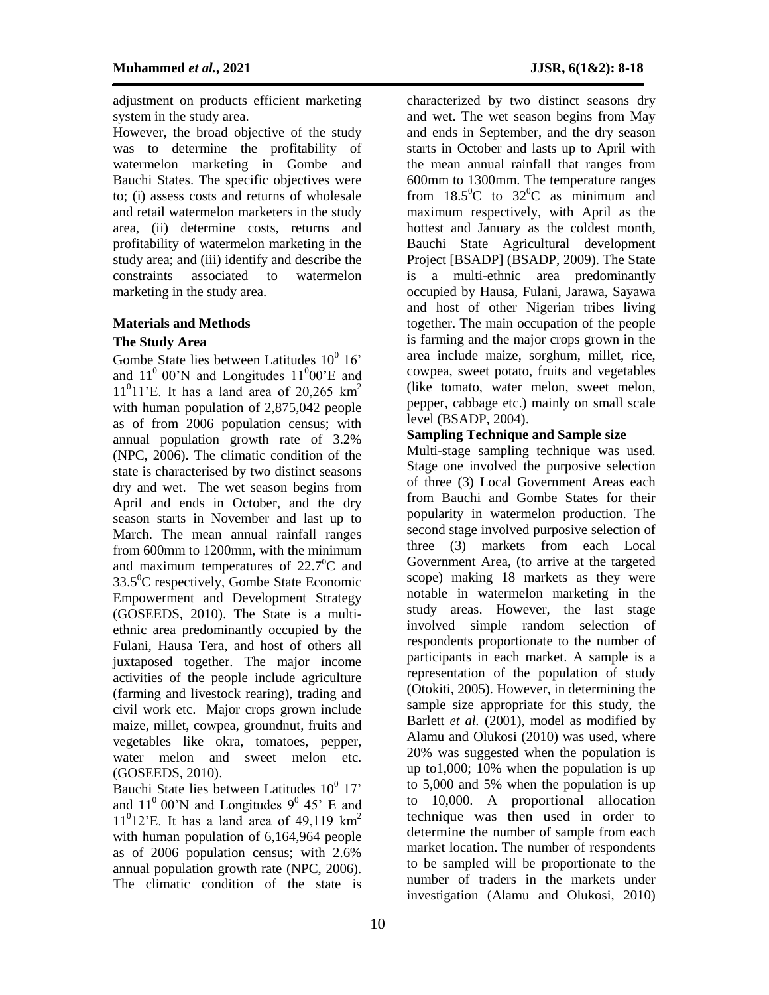adjustment on products efficient marketing system in the study area.

However, the broad objective of the study was to determine the profitability of watermelon marketing in Gombe and Bauchi States. The specific objectives were to; (i) assess costs and returns of wholesale and retail watermelon marketers in the study area, (ii) determine costs, returns and profitability of watermelon marketing in the study area; and (iii) identify and describe the constraints associated to watermelon marketing in the study area.

#### **Materials and Methods**

#### **The Study Area**

Gombe State lies between Latitudes  $10^0$  16' and  $11^{\circ}$  00'N and Longitudes  $11^{\circ}$ 00'E and  $11<sup>0</sup>11$ 'E. It has a land area of 20,265 km<sup>2</sup> with human population of 2,875,042 people as of from 2006 population census; with annual population growth rate of 3.2% (NPC, 2006)**.** The climatic condition of the state is characterised by two distinct seasons dry and wet. The wet season begins from April and ends in October, and the dry season starts in November and last up to March. The mean annual rainfall ranges from 600mm to 1200mm, with the minimum and maximum temperatures of  $22.7^{\circ}$ C and  $33.5^{\circ}$ C respectively, Gombe State Economic Empowerment and Development Strategy (GOSEEDS, 2010). The State is a multiethnic area predominantly occupied by the Fulani, Hausa Tera, and host of others all juxtaposed together. The major income activities of the people include agriculture (farming and livestock rearing), trading and civil work etc. Major crops grown include maize, millet, cowpea, groundnut, fruits and vegetables like okra, tomatoes, pepper, water melon and sweet melon etc. (GOSEEDS, 2010).

Bauchi State lies between Latitudes  $10^0$  17' and  $11^{\circ}$  00'N and Longitudes  $9^{\circ}$  45' E and  $11<sup>0</sup>12$ 'E. It has a land area of 49,119 km<sup>2</sup> with human population of 6,164,964 people as of 2006 population census; with 2.6% annual population growth rate (NPC, 2006). The climatic condition of the state is

characterized by two distinct seasons dry and wet. The wet season begins from May and ends in September, and the dry season starts in October and lasts up to April with the mean annual rainfall that ranges from 600mm to 1300mm. The temperature ranges from  $18.5^{\circ}$ C to  $32^{\circ}$ C as minimum and maximum respectively, with April as the hottest and January as the coldest month, Bauchi State Agricultural development Project [BSADP] (BSADP, 2009). The State is a multi-ethnic area predominantly occupied by Hausa, Fulani, Jarawa, Sayawa and host of other Nigerian tribes living together. The main occupation of the people is farming and the major crops grown in the area include maize, sorghum, millet, rice, cowpea, sweet potato, fruits and vegetables (like tomato, water melon, sweet melon, pepper, cabbage etc.) mainly on small scale level (BSADP, 2004).

### **Sampling Technique and Sample size**

Multi-stage sampling technique was used. Stage one involved the purposive selection of three (3) Local Government Areas each from Bauchi and Gombe States for their popularity in watermelon production. The second stage involved purposive selection of three (3) markets from each Local Government Area, (to arrive at the targeted scope) making 18 markets as they were notable in watermelon marketing in the study areas. However, the last stage involved simple random selection of respondents proportionate to the number of participants in each market. A sample is a representation of the population of study (Otokiti, 2005). However, in determining the sample size appropriate for this study, the Barlett *et al.* (2001), model as modified by Alamu and Olukosi (2010) was used, where 20% was suggested when the population is up to1,000; 10% when the population is up to 5,000 and 5% when the population is up to 10,000. A proportional allocation technique was then used in order to determine the number of sample from each market location. The number of respondents to be sampled will be proportionate to the number of traders in the markets under investigation (Alamu and Olukosi, 2010)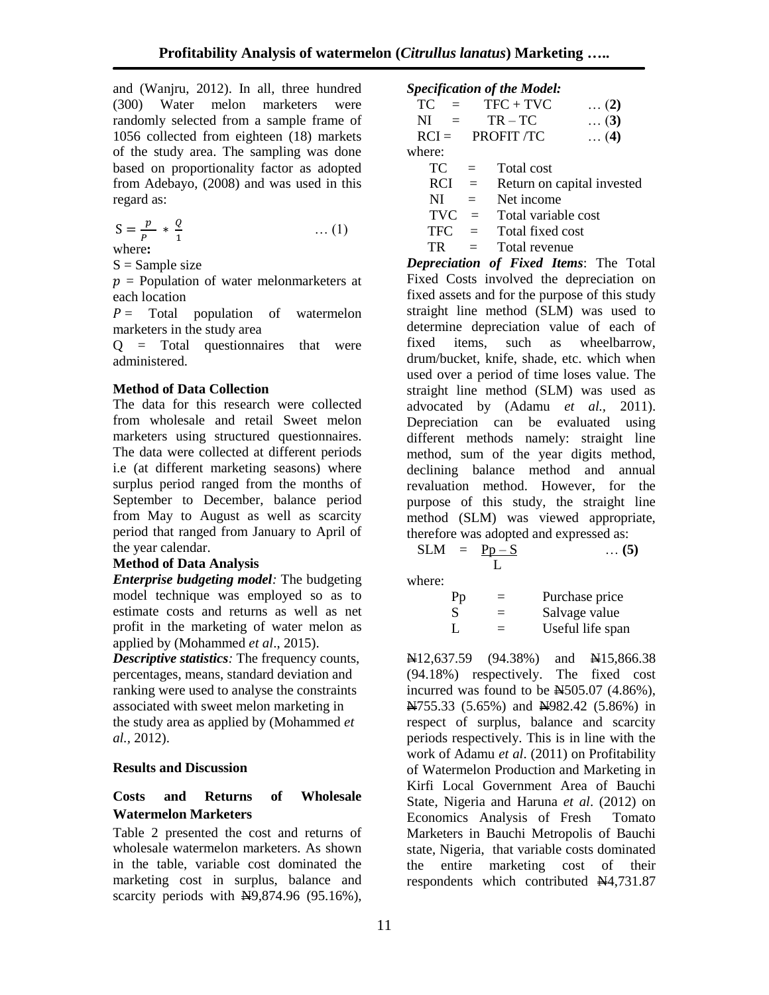and (Wanjru, 2012). In all, three hundred (300) Water melon marketers were randomly selected from a sample frame of 1056 collected from eighteen (18) markets of the study area. The sampling was done based on proportionality factor as adopted from Adebayo, (2008) and was used in this regard as:

$$
S = \frac{p}{p} * \frac{Q}{1}
$$
 ... (1)

where**:**

 $S =$  Sample size

 $p =$  Population of water melonmarketers at each location

 $P =$  Total population of watermelon marketers in the study area

 $Q = \text{Total}$  questionnaires that were administered.

## **Method of Data Collection**

The data for this research were collected from wholesale and retail Sweet melon marketers using structured questionnaires. The data were collected at different periods i.e (at different marketing seasons) where surplus period ranged from the months of September to December, balance period from May to August as well as scarcity period that ranged from January to April of the year calendar.

## **Method of Data Analysis**

*Enterprise budgeting model:* The budgeting model technique was employed so as to estimate costs and returns as well as net profit in the marketing of water melon as applied by (Mohammed *et al*., 2015).

*Descriptive statistics:* The frequency counts, percentages, means, standard deviation and ranking were used to analyse the constraints associated with sweet melon marketing in the study area as applied by (Mohammed *et al.,* 2012).

## **Results and Discussion**

## **Costs and Returns of Wholesale Watermelon Marketers**

Table 2 presented the cost and returns of wholesale watermelon marketers. As shown in the table, variable cost dominated the marketing cost in surplus, balance and scarcity periods with  $\mathbf{\hat{H}}9,874.96$  (95.16%),

*Specification of the Model:*

| TC.     | $=$      | $TFC + TVC$       | $\ldots$ (2) |
|---------|----------|-------------------|--------------|
| NI.     | $\equiv$ | $TR - TC$         | $\dots (3)$  |
| $RCI =$ |          | <b>PROFIT /TC</b> | $\ldots$ (4) |
| where:  |          |                   |              |
| TЛ      |          | $Total$ $oot$     |              |

| TC.        | $\equiv$     | Total cost                 |
|------------|--------------|----------------------------|
| <b>RCI</b> | $\equiv$     | Return on capital invested |
| NI         | $=$          | Net income                 |
| TVC.       | $\alpha = 1$ | Total variable cost        |
| TFC.       | $\equiv$     | Total fixed cost           |
| TR         | $=$          | Total revenue              |

*Depreciation of Fixed Items*: The Total Fixed Costs involved the depreciation on fixed assets and for the purpose of this study straight line method (SLM) was used to determine depreciation value of each of fixed items, such as wheelbarrow, drum/bucket, knife, shade, etc. which when used over a period of time loses value. The straight line method (SLM) was used as advocated by (Adamu *et al.,* 2011). Depreciation can be evaluated using different methods namely: straight line method, sum of the year digits method, declining balance method and annual revaluation method. However, for the purpose of this study, the straight line method (SLM) was viewed appropriate, therefore was adopted and expressed as:

$$
SLM = \frac{Pp-S}{L} \qquad \qquad \dots (5)
$$

where:

| Pp           | $=$ | Purchase price   |
|--------------|-----|------------------|
| <sup>S</sup> | $=$ | Salvage value    |
| Ι.           | $=$ | Useful life span |

 $\mathbb{R}12,637.59$  (94.38%) and  $\mathbb{R}15,866.38$ (94.18%) respectively. The fixed cost incurred was found to be  $\overline{M}$ 505.07 (4.86%), New 155.33 (5.65%) and New 14982.42 (5.86%) in respect of surplus, balance and scarcity periods respectively. This is in line with the work of Adamu *et al*. (2011) on Profitability of Watermelon Production and Marketing in Kirfi Local Government Area of Bauchi State, Nigeria and Haruna *et al*. (2012) on Economics Analysis of Fresh Tomato Marketers in Bauchi Metropolis of Bauchi state, Nigeria, that variable costs dominated the entire marketing cost of their respondents which contributed N4,731.87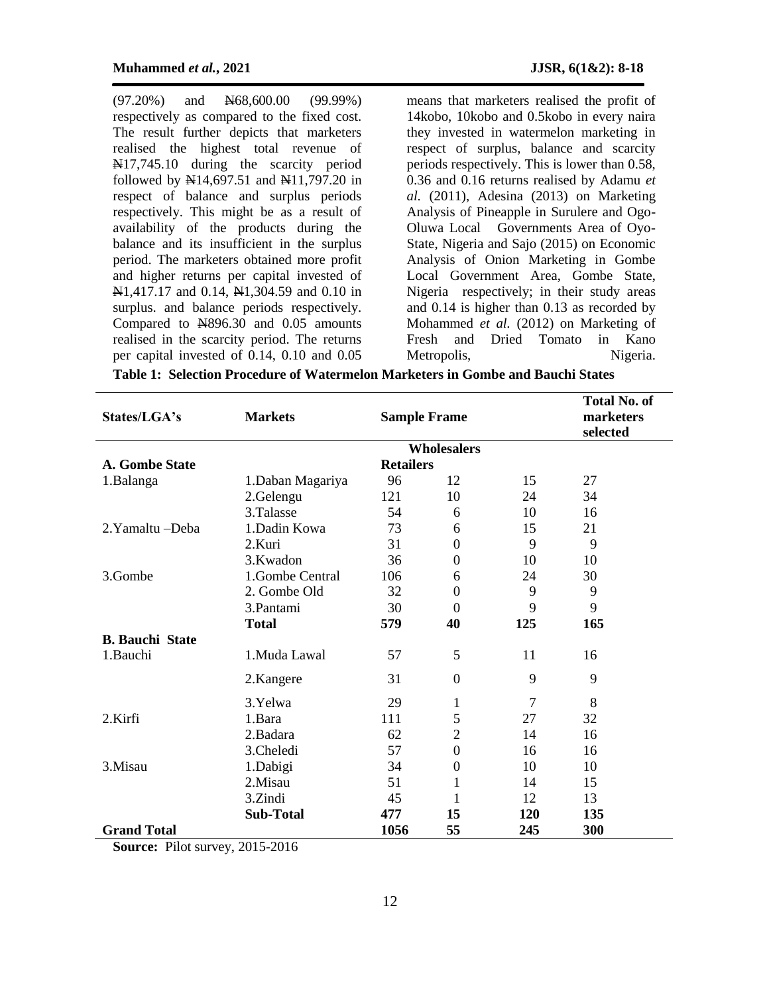(97.20%) and N68,600.00 (99.99%) respectively as compared to the fixed cost. The result further depicts that marketers realised the highest total revenue of N<sub>17</sub>,745.10 during the scarcity period followed by  $\frac{N}{4}14,697.51$  and  $\frac{N}{4}11,797.20$  in respect of balance and surplus periods respectively. This might be as a result of availability of the products during the balance and its insufficient in the surplus period. The marketers obtained more profit and higher returns per capital invested of  $N1,417.17$  and 0.14,  $N1,304.59$  and 0.10 in surplus. and balance periods respectively. Compared to  $\overline{N896.30}$  and 0.05 amounts realised in the scarcity period. The returns per capital invested of 0.14, 0.10 and 0.05

means that marketers realised the profit of 14kobo, 10kobo and 0.5kobo in every naira they invested in watermelon marketing in respect of surplus, balance and scarcity periods respectively. This is lower than 0.58, 0.36 and 0.16 returns realised by Adamu *et al.* (2011), Adesina (2013) on Marketing Analysis of Pineapple in Surulere and Ogo-Oluwa Local Governments Area of Oyo-State, Nigeria and Sajo (2015) on Economic Analysis of Onion Marketing in Gombe Local Government Area, Gombe State, Nigeria respectively; in their study areas and 0.14 is higher than 0.13 as recorded by Mohammed *et al.* (2012) on Marketing of Fresh and Dried Tomato in Kano Metropolis, Nigeria.

| States/LGA's           | <b>Markets</b><br><b>Sample Frame</b> |                  |                    |            | <b>Total No. of</b><br>marketers<br>selected |  |  |
|------------------------|---------------------------------------|------------------|--------------------|------------|----------------------------------------------|--|--|
|                        |                                       |                  | <b>Wholesalers</b> |            |                                              |  |  |
| <b>A. Gombe State</b>  |                                       | <b>Retailers</b> |                    |            |                                              |  |  |
| 1.Balanga              | 1.Daban Magariya                      | 96               | 12                 | 15         | 27                                           |  |  |
|                        | 2.Gelengu                             | 121              | 10                 | 24         | 34                                           |  |  |
|                        | 3.Talasse                             | 54               | 6                  | 10         | 16                                           |  |  |
| 2. Yamaltu - Deba      | 1.Dadin Kowa                          | 73               | 6                  | 15         | 21                                           |  |  |
|                        | 2.Kuri                                | 31               | $\boldsymbol{0}$   | 9          | 9                                            |  |  |
|                        | 3.Kwadon                              | 36               | $\boldsymbol{0}$   | 10         | 10                                           |  |  |
| 3.Gombe                | 1.Gombe Central                       | 106              | 6                  | 24         | 30                                           |  |  |
|                        | 2. Gombe Old                          | 32               | $\boldsymbol{0}$   | 9          | 9                                            |  |  |
|                        | 3.Pantami                             | 30               | $\boldsymbol{0}$   | 9          | 9                                            |  |  |
|                        | <b>Total</b>                          | 579              | 40                 | 125        | 165                                          |  |  |
| <b>B.</b> Bauchi State |                                       |                  |                    |            |                                              |  |  |
| 1.Bauchi               | 1.Muda Lawal                          | 57               | 5                  | 11         | 16                                           |  |  |
|                        | 2.Kangere                             | 31               | $\mathbf{0}$       | 9          | 9                                            |  |  |
|                        | 3.Yelwa                               | 29               | $\mathbf{1}$       | 7          | 8                                            |  |  |
| 2.Kirfi                | 1.Bara                                | 111              | 5                  | 27         | 32                                           |  |  |
|                        | 2.Badara                              | 62               | $\overline{2}$     | 14         | 16                                           |  |  |
|                        | 3.Cheledi                             | 57               | $\mathbf{0}$       | 16         | 16                                           |  |  |
| 3.Misau                | 1.Dabigi                              | 34               | $\boldsymbol{0}$   | 10         | 10                                           |  |  |
|                        | 2.Misau                               | 51               | 1                  | 14         | 15                                           |  |  |
|                        | 3.Zindi                               | 45               | 1                  | 12         | 13                                           |  |  |
|                        | <b>Sub-Total</b>                      | 477              | 15                 | <b>120</b> | 135                                          |  |  |
| <b>Grand Total</b>     |                                       | 1056             | 55                 | 245        | 300                                          |  |  |

**Table 1: Selection Procedure of Watermelon Marketers in Gombe and Bauchi States**

**Source:** Pilot survey, 2015-2016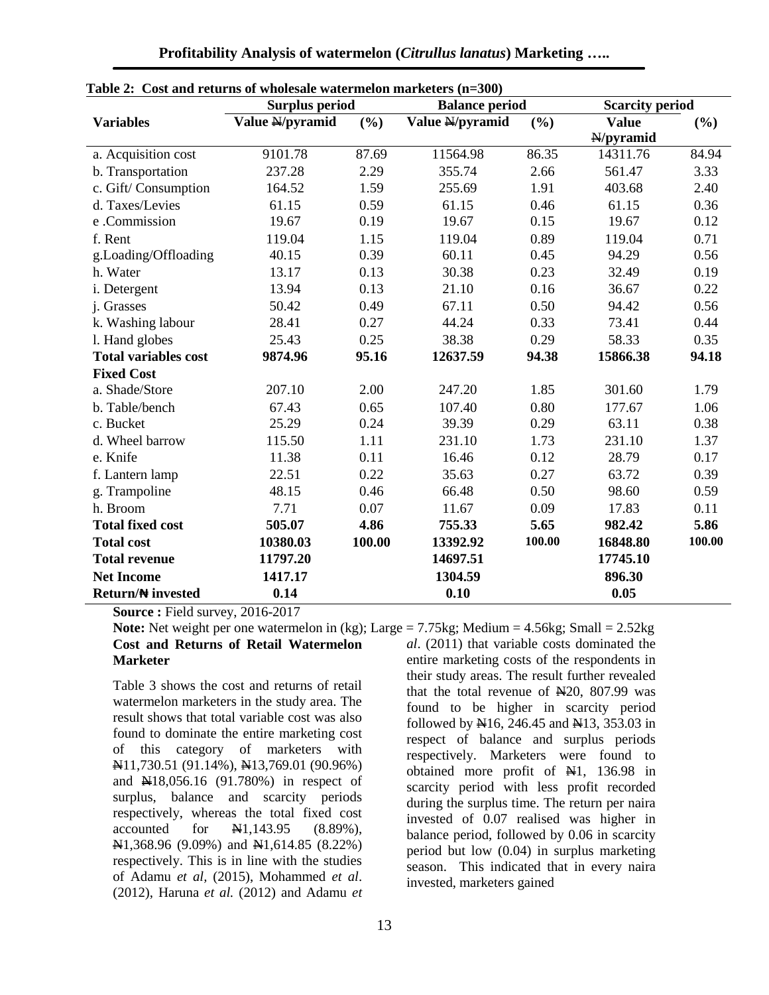| <b>Table 2.</b> Cost and Feturits of wholesale watermelon marketers $(n-300)$ | <b>Surplus period</b> |        | <b>Balance period</b> | <b>Scarcity period</b> |              |        |
|-------------------------------------------------------------------------------|-----------------------|--------|-----------------------|------------------------|--------------|--------|
| <b>Variables</b>                                                              | Value N/pyramid       | (%)    | Value N/pyramid       | (%)                    | <b>Value</b> | (%)    |
|                                                                               |                       |        |                       |                        | $N/py$ ramid |        |
| a. Acquisition cost                                                           | 9101.78               | 87.69  | 11564.98              | 86.35                  | 14311.76     | 84.94  |
| b. Transportation                                                             | 237.28                | 2.29   | 355.74                | 2.66                   | 561.47       | 3.33   |
| c. Gift/Consumption                                                           | 164.52                | 1.59   | 255.69                | 1.91                   | 403.68       | 2.40   |
| d. Taxes/Levies                                                               | 61.15                 | 0.59   | 61.15                 | 0.46                   | 61.15        | 0.36   |
| e .Commission                                                                 | 19.67                 | 0.19   | 19.67                 | 0.15                   | 19.67        | 0.12   |
| f. Rent                                                                       | 119.04                | 1.15   | 119.04                | 0.89                   | 119.04       | 0.71   |
| g.Loading/Offloading                                                          | 40.15                 | 0.39   | 60.11                 | 0.45                   | 94.29        | 0.56   |
| h. Water                                                                      | 13.17                 | 0.13   | 30.38                 | 0.23                   | 32.49        | 0.19   |
| i. Detergent                                                                  | 13.94                 | 0.13   | 21.10                 | 0.16                   | 36.67        | 0.22   |
| j. Grasses                                                                    | 50.42                 | 0.49   | 67.11                 | 0.50                   | 94.42        | 0.56   |
| k. Washing labour                                                             | 28.41                 | 0.27   | 44.24                 | 0.33                   | 73.41        | 0.44   |
| 1. Hand globes                                                                | 25.43                 | 0.25   | 38.38                 | 0.29                   | 58.33        | 0.35   |
| <b>Total variables cost</b>                                                   | 9874.96               | 95.16  | 12637.59              | 94.38                  | 15866.38     | 94.18  |
| <b>Fixed Cost</b>                                                             |                       |        |                       |                        |              |        |
| a. Shade/Store                                                                | 207.10                | 2.00   | 247.20                | 1.85                   | 301.60       | 1.79   |
| b. Table/bench                                                                | 67.43                 | 0.65   | 107.40                | 0.80                   | 177.67       | 1.06   |
| c. Bucket                                                                     | 25.29                 | 0.24   | 39.39                 | 0.29                   | 63.11        |        |
| d. Wheel barrow                                                               | 115.50                | 1.11   | 231.10                | 1.73                   | 231.10       | 1.37   |
| e. Knife                                                                      | 11.38                 | 0.11   | 16.46                 | 0.12                   | 28.79        | 0.17   |
| f. Lantern lamp                                                               | 22.51                 | 0.22   | 35.63                 | 0.27                   | 63.72        | 0.39   |
| g. Trampoline                                                                 | 48.15                 | 0.46   | 66.48                 | 0.50                   | 98.60        | 0.59   |
| h. Broom                                                                      | 7.71                  | 0.07   | 11.67                 | 0.09                   | 17.83        | 0.11   |
| <b>Total fixed cost</b>                                                       | 505.07                | 4.86   | 755.33                | 5.65                   | 982.42       | 5.86   |
| <b>Total cost</b>                                                             | 10380.03              | 100.00 | 13392.92              | 100.00                 | 16848.80     | 100.00 |
| <b>Total revenue</b>                                                          | 11797.20              |        | 14697.51              |                        | 17745.10     |        |
| <b>Net Income</b>                                                             | 1417.17               |        | 1304.59               |                        | 896.30       |        |
| <b>Return/# invested</b>                                                      | 0.14                  |        | 0.10                  |                        | 0.05         |        |

| Table 2: Cost and returns of wholesale watermelon marketers (n=300) |
|---------------------------------------------------------------------|
|---------------------------------------------------------------------|

**Source : Field survey, 2016-2017** 

**Note:** Net weight per one watermelon in (kg); Large = 7.75kg; Medium = 4.56kg; Small = 2.52kg **Cost and Returns of Retail Watermelon Marketer**

Table 3 shows the cost and returns of retail watermelon marketers in the study area. The result shows that total variable cost was also found to dominate the entire marketing cost of this category of marketers with N11,730.51 (91.14%), N13,769.01 (90.96%) and N18,056.16 (91.780%) in respect of surplus, balance and scarcity periods respectively, whereas the total fixed cost accounted for  $\frac{111}{143.95}$  (8.89%),  $\mathbb{H}1,368.96$  (9.09%) and  $\mathbb{H}1,614.85$  (8.22%) respectively. This is in line with the studies of Adamu *et al,* (2015), Mohammed *et al*. (2012), Haruna *et al.* (2012) and Adamu *et* 

*al*. (2011) that variable costs dominated the entire marketing costs of the respondents in their study areas. The result further revealed that the total revenue of  $\text{H}_2(20, 807.99)$  was found to be higher in scarcity period followed by  $\text{N16}$ , 246.45 and  $\text{N13}$ , 353.03 in respect of balance and surplus periods respectively. Marketers were found to obtained more profit of  $H1$ , 136.98 in scarcity period with less profit recorded during the surplus time. The return per naira invested of 0.07 realised was higher in balance period, followed by 0.06 in scarcity period but low (0.04) in surplus marketing season. This indicated that in every naira invested, marketers gained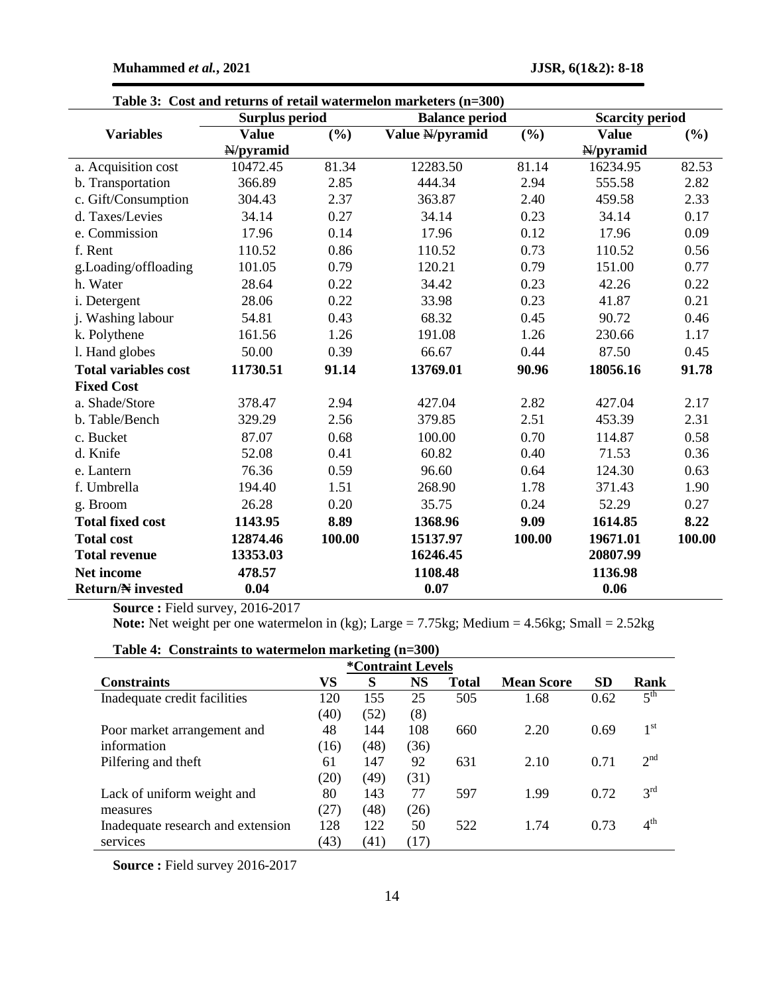|                             | <b>Surplus period</b> |                        | Cost and Tetams of Tetam watermefon marketers (n=500)<br><b>Balance period</b> | <b>Scarcity period</b> |              |        |
|-----------------------------|-----------------------|------------------------|--------------------------------------------------------------------------------|------------------------|--------------|--------|
| <b>Variables</b>            | <b>Value</b>          | (%)<br>Value N/pyramid |                                                                                | (%)                    | <b>Value</b> | (%)    |
|                             | H/pyramid             |                        |                                                                                |                        | H/pyramid    |        |
| a. Acquisition cost         | 10472.45              | 81.34                  | 12283.50                                                                       | 81.14                  | 16234.95     | 82.53  |
| b. Transportation           | 366.89                | 2.85                   | 444.34                                                                         | 2.94                   | 555.58       | 2.82   |
| c. Gift/Consumption         | 304.43                | 2.37                   | 363.87                                                                         | 2.40                   | 459.58       | 2.33   |
| d. Taxes/Levies             | 34.14                 | 0.27                   | 34.14                                                                          | 0.23                   | 34.14        | 0.17   |
| e. Commission               | 17.96                 | 0.14                   | 17.96                                                                          | 0.12                   | 17.96        | 0.09   |
| f. Rent                     | 110.52                | 0.86                   | 110.52                                                                         | 0.73                   | 110.52       | 0.56   |
| g.Loading/offloading        | 101.05                | 0.79                   | 120.21                                                                         | 0.79                   | 151.00       | 0.77   |
| h. Water                    | 28.64                 | 0.22                   | 34.42                                                                          | 0.23                   | 42.26        | 0.22   |
| i. Detergent                | 28.06                 | 0.22                   | 33.98                                                                          | 0.23                   | 41.87        | 0.21   |
| j. Washing labour           | 54.81                 | 0.43                   | 68.32                                                                          | 0.45                   | 90.72        | 0.46   |
| k. Polythene                | 161.56                | 1.26                   | 191.08                                                                         | 1.26                   | 230.66       | 1.17   |
| 1. Hand globes              | 50.00                 | 0.39                   | 66.67                                                                          | 0.44                   | 87.50        | 0.45   |
| <b>Total variables cost</b> | 11730.51              | 91.14                  | 13769.01                                                                       | 90.96                  | 18056.16     | 91.78  |
| <b>Fixed Cost</b>           |                       |                        |                                                                                |                        |              |        |
| a. Shade/Store              | 378.47                | 2.94                   | 427.04                                                                         | 2.82                   | 427.04       | 2.17   |
| b. Table/Bench              | 329.29                | 2.56                   | 379.85                                                                         | 2.51                   | 453.39       | 2.31   |
| c. Bucket                   | 87.07                 | 0.68                   | 100.00                                                                         | 0.70                   | 114.87       | 0.58   |
| d. Knife                    | 52.08                 | 0.41                   | 60.82                                                                          | 0.40                   | 71.53        | 0.36   |
| e. Lantern                  | 76.36                 | 0.59                   | 96.60                                                                          | 0.64                   | 124.30       | 0.63   |
| f. Umbrella                 | 194.40                | 1.51                   | 268.90                                                                         | 1.78                   | 371.43       | 1.90   |
| g. Broom                    | 26.28                 | 0.20                   | 35.75                                                                          | 0.24                   | 52.29        | 0.27   |
| <b>Total fixed cost</b>     | 1143.95               | 8.89                   | 1368.96                                                                        | 9.09                   | 1614.85      | 8.22   |
| <b>Total cost</b>           | 12874.46              | 100.00                 | 15137.97                                                                       | 100.00                 | 19671.01     | 100.00 |
| <b>Total revenue</b>        | 13353.03              |                        | 16246.45                                                                       |                        | 20807.99     |        |
| <b>Net income</b>           | 478.57                |                        | 1108.48                                                                        |                        | 1136.98      |        |
| <b>Return/N</b> invested    | 0.04                  |                        | 0.07                                                                           |                        | 0.06         |        |

**Table 3: Cost and returns of retail watermelon marketers (n=300)**

**Source : Field survey, 2016-2017** 

**Note:** Net weight per one watermelon in (kg); Large = 7.75kg; Medium = 4.56kg; Small = 2.52kg

## **Table 4: Constraints to watermelon marketing (n=300)**

| <i><b>*Contraint Levels</b></i>   |      |      |           |              |                   |           |                 |  |  |  |
|-----------------------------------|------|------|-----------|--------------|-------------------|-----------|-----------------|--|--|--|
| <b>Constraints</b>                | VS   | S    | <b>NS</b> | <b>Total</b> | <b>Mean Score</b> | <b>SD</b> | Rank            |  |  |  |
| Inadequate credit facilities      | 120  | 155  | 25        | 505          | 1.68              | 0.62      | $5^{\text{th}}$ |  |  |  |
|                                   | (40) | (52) | (8)       |              |                   |           |                 |  |  |  |
| Poor market arrangement and       | 48   | 144  | 108       | 660          | 2.20              | 0.69      | $1^{\rm st}$    |  |  |  |
| information                       | (16) | (48) | (36)      |              |                   |           |                 |  |  |  |
| Pilfering and theft               | 61   | 147  | 92        | 631          | 2.10              | 0.71      | 2 <sup>nd</sup> |  |  |  |
|                                   | (20) | (49) | (31)      |              |                   |           |                 |  |  |  |
| Lack of uniform weight and        | 80   | 143  | 77        | 597          | 1.99              | 0.72      | 3 <sup>rd</sup> |  |  |  |
| measures                          | (27) | (48) | (26)      |              |                   |           |                 |  |  |  |
| Inadequate research and extension | 128  | 122  | 50        | 522          | 1.74              | 0.73      | 4 <sup>th</sup> |  |  |  |
| services                          | (43) | (41) | (17)      |              |                   |           |                 |  |  |  |

**Source : Field survey 2016-2017**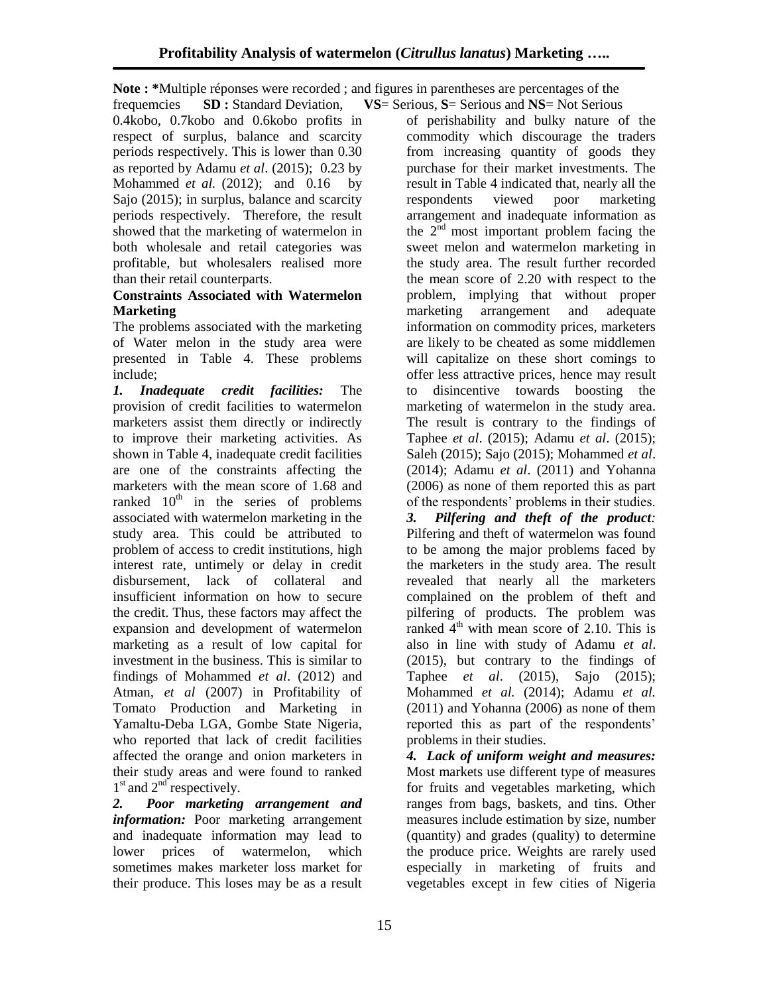**Note : \***Multiple réponses were recorded ; and figures in parentheses are percentages of the

frequemcies **SD :** Standard Deviation, **VS**= Serious, **S**= Serious and **NS**= Not Serious 0.4kobo, 0.7kobo and 0.6kobo profits in respect of surplus, balance and scarcity periods respectively. This is lower than 0.30 as reported by Adamu *et al*. (2015); 0.23 by Mohammed *et al.* (2012); and 0.16 by Sajo (2015); in surplus, balance and scarcity periods respectively. Therefore, the result showed that the marketing of watermelon in both wholesale and retail categories was profitable, but wholesalers realised more than their retail counterparts.

## **Constraints Associated with Watermelon Marketing**

The problems associated with the marketing of Water melon in the study area were presented in Table 4. These problems include;

*1. Inadequate credit facilities:* The provision of credit facilities to watermelon marketers assist them directly or indirectly to improve their marketing activities. As shown in Table 4, inadequate credit facilities are one of the constraints affecting the marketers with the mean score of 1.68 and ranked  $10<sup>th</sup>$  in the series of problems associated with watermelon marketing in the study area. This could be attributed to problem of access to credit institutions, high interest rate, untimely or delay in credit disbursement, lack of collateral and insufficient information on how to secure the credit. Thus, these factors may affect the expansion and development of watermelon marketing as a result of low capital for investment in the business. This is similar to findings of Mohammed *et al*. (2012) and Atman*, et al* (2007) in Profitability of Tomato Production and Marketing in Yamaltu-Deba LGA, Gombe State Nigeria, who reported that lack of credit facilities affected the orange and onion marketers in their study areas and were found to ranked 1<sup>st</sup> and 2<sup>nd</sup> respectively.

*2. Poor marketing arrangement and information:* Poor marketing arrangement and inadequate information may lead to lower prices of watermelon, which sometimes makes marketer loss market for their produce. This loses may be as a result

of perishability and bulky nature of the commodity which discourage the traders from increasing quantity of goods they purchase for their market investments. The result in Table 4 indicated that, nearly all the respondents viewed poor marketing arrangement and inadequate information as the  $2<sup>nd</sup>$  most important problem facing the sweet melon and watermelon marketing in the study area. The result further recorded the mean score of 2.20 with respect to the problem, implying that without proper marketing arrangement and adequate information on commodity prices, marketers are likely to be cheated as some middlemen will capitalize on these short comings to offer less attractive prices, hence may result to disincentive towards boosting the marketing of watermelon in the study area. The result is contrary to the findings of Taphee *et al*. (2015); Adamu *et al*. (2015); Saleh (2015); Sajo (2015); Mohammed *et al*. (2014); Adamu *et al*. (2011) and Yohanna (2006) as none of them reported this as part of the respondents' problems in their studies. *3. Pilfering and theft of the product:* Pilfering and theft of watermelon was found

to be among the major problems faced by the marketers in the study area. The result revealed that nearly all the marketers complained on the problem of theft and pilfering of products. The problem was ranked  $4<sup>th</sup>$  with mean score of 2.10. This is also in line with study of Adamu *et al*. (2015), but contrary to the findings of Taphee *et al*. (2015), Sajo (2015); Mohammed *et al.* (2014); Adamu *et al.* (2011) and Yohanna (2006) as none of them reported this as part of the respondents' problems in their studies.

*4. Lack of uniform weight and measures:*  Most markets use different type of measures for fruits and vegetables marketing, which ranges from bags, baskets, and tins. Other measures include estimation by size, number (quantity) and grades (quality) to determine the produce price. Weights are rarely used especially in marketing of fruits and vegetables except in few cities of Nigeria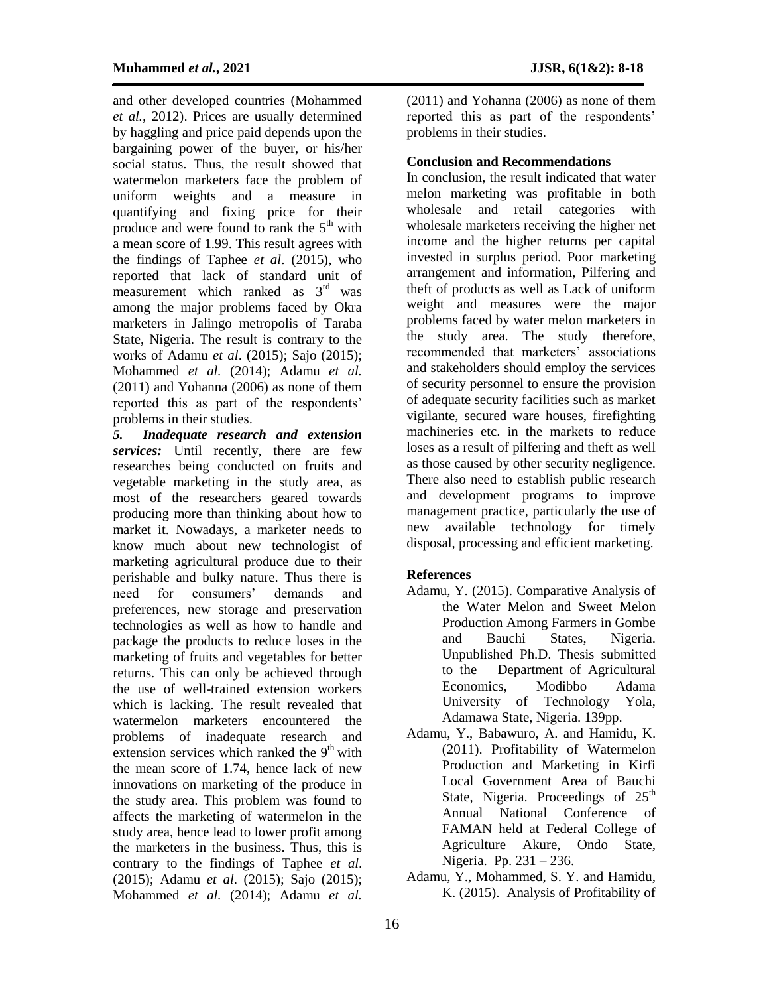and other developed countries (Mohammed *et al.,* 2012). Prices are usually determined by haggling and price paid depends upon the bargaining power of the buyer, or his/her social status. Thus, the result showed that watermelon marketers face the problem of uniform weights and a measure in quantifying and fixing price for their produce and were found to rank the 5<sup>th</sup> with a mean score of 1.99. This result agrees with the findings of Taphee *et al*. (2015), who reported that lack of standard unit of measurement which ranked as  $3<sup>rd</sup>$  was among the major problems faced by Okra marketers in Jalingo metropolis of Taraba State, Nigeria. The result is contrary to the works of Adamu *et al*. (2015); Sajo (2015); Mohammed *et al.* (2014); Adamu *et al.* (2011) and Yohanna (2006) as none of them reported this as part of the respondents' problems in their studies.

*5. Inadequate research and extension services:* Until recently, there are few researches being conducted on fruits and vegetable marketing in the study area, as most of the researchers geared towards producing more than thinking about how to market it. Nowadays, a marketer needs to know much about new technologist of marketing agricultural produce due to their perishable and bulky nature. Thus there is need for consumers' demands and preferences, new storage and preservation technologies as well as how to handle and package the products to reduce loses in the marketing of fruits and vegetables for better returns. This can only be achieved through the use of well-trained extension workers which is lacking. The result revealed that watermelon marketers encountered the problems of inadequate research and extension services which ranked the  $9<sup>th</sup>$  with the mean score of 1.74, hence lack of new innovations on marketing of the produce in the study area. This problem was found to affects the marketing of watermelon in the study area, hence lead to lower profit among the marketers in the business. Thus, this is contrary to the findings of Taphee *et al*. (2015); Adamu *et al*. (2015); Sajo (2015); Mohammed *et al.* (2014); Adamu *et al.*

(2011) and Yohanna (2006) as none of them reported this as part of the respondents' problems in their studies.

#### **Conclusion and Recommendations**

In conclusion, the result indicated that water melon marketing was profitable in both wholesale and retail categories with wholesale marketers receiving the higher net income and the higher returns per capital invested in surplus period. Poor marketing arrangement and information, Pilfering and theft of products as well as Lack of uniform weight and measures were the major problems faced by water melon marketers in the study area. The study therefore, recommended that marketers' associations and stakeholders should employ the services of security personnel to ensure the provision of adequate security facilities such as market vigilante, secured ware houses, firefighting machineries etc. in the markets to reduce loses as a result of pilfering and theft as well as those caused by other security negligence. There also need to establish public research and development programs to improve management practice, particularly the use of new available technology for timely disposal, processing and efficient marketing.

#### **References**

- Adamu, Y. (2015). Comparative Analysis of the Water Melon and Sweet Melon Production Among Farmers in Gombe and Bauchi States, Nigeria. Unpublished Ph.D. Thesis submitted to the Department of Agricultural Economics, Modibbo Adama University of Technology Yola, Adamawa State, Nigeria. 139pp.
- Adamu, Y., Babawuro, A. and Hamidu, K. (2011). Profitability of Watermelon Production and Marketing in Kirfi Local Government Area of Bauchi State, Nigeria. Proceedings of 25<sup>th</sup> Annual National Conference of FAMAN held at Federal College of Agriculture Akure, Ondo State, Nigeria. Pp. 231 – 236.
- Adamu, Y., Mohammed, S. Y. and Hamidu, K. (2015). Analysis of Profitability of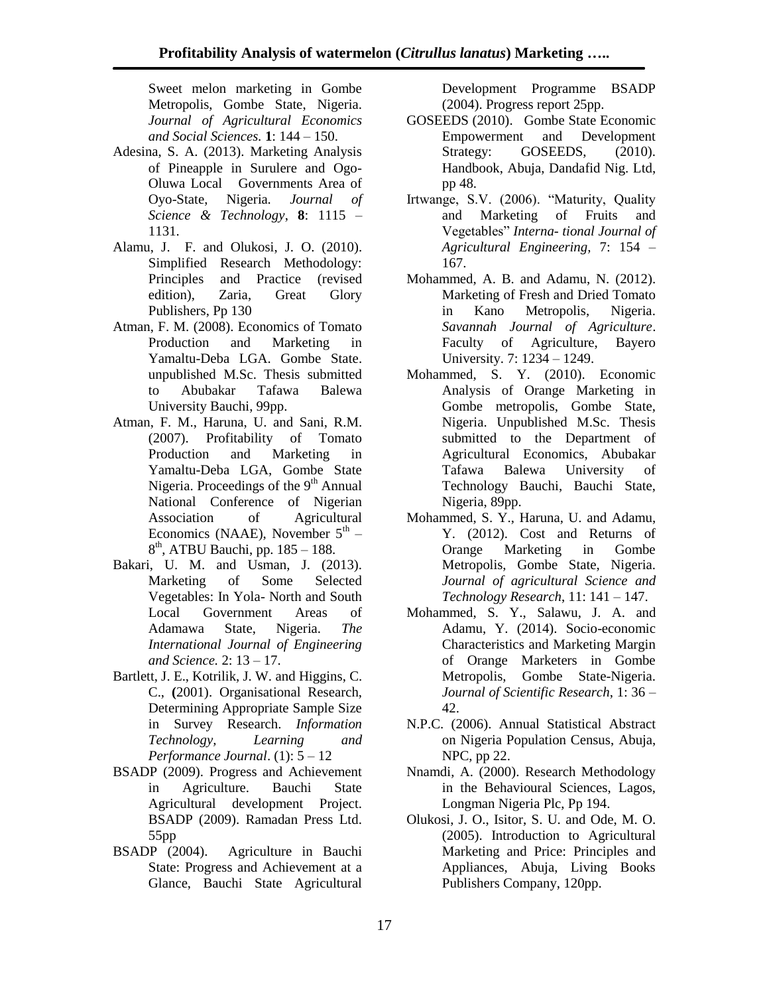Sweet melon marketing in Gombe Metropolis, Gombe State, Nigeria. *Journal of Agricultural Economics and Social Sciences.* **1**: 144 – 150.

- Adesina, S. A. (2013). Marketing Analysis of Pineapple in Surulere and Ogo-Oluwa Local Governments Area of Oyo-State, Nigeria*. Journal of Science & Technology*, **8**: 1115 – 1131.
- Alamu, J. F. and Olukosi, J. O. (2010). Simplified Research Methodology: Principles and Practice (revised edition), Zaria, Great Glory Publishers, Pp 130
- Atman, F. M. (2008). Economics of Tomato Production and Marketing in Yamaltu-Deba LGA. Gombe State. unpublished M.Sc. Thesis submitted to Abubakar Tafawa Balewa University Bauchi, 99pp.
- Atman, F. M., Haruna, U. and Sani, R.M. (2007). Profitability of Tomato Production and Marketing in Yamaltu-Deba LGA, Gombe State Nigeria. Proceedings of the  $9<sup>th</sup>$  Annual National Conference of Nigerian Association of Agricultural Economics (NAAE), November  $5^{\text{th}}$  – 8<sup>th</sup>, ATBU Bauchi, pp. 185 – 188.
- Bakari, U. M. and Usman, J. (2013). Marketing of Some Selected Vegetables: In Yola- North and South Local Government Areas of Adamawa State, Nigeria. *The International Journal of Engineering and Science.* 2: 13 – 17.
- Bartlett, J. E., Kotrilik, J. W. and Higgins, C. C., **(**2001). Organisational Research, Determining Appropriate Sample Size in Survey Research. *Information Technology, Learning and Performance Journal*. (1): 5 – 12
- BSADP (2009). Progress and Achievement in Agriculture. Bauchi State Agricultural development Project. BSADP (2009). Ramadan Press Ltd. 55pp
- BSADP (2004). Agriculture in Bauchi State: Progress and Achievement at a Glance, Bauchi State Agricultural

Development Programme BSADP (2004). Progress report 25pp.

- GOSEEDS (2010). Gombe State Economic Empowerment and Development Strategy: GOSEEDS,  $(2010)$ . Handbook, Abuja, Dandafid Nig. Ltd, pp 48.
- Irtwange, S.V. (2006). "Maturity, Quality and Marketing of Fruits and Vegetables" *Interna- tional Journal of Agricultural Engineering,* 7: 154 – 167.
- Mohammed, A. B. and Adamu, N. (2012). Marketing of Fresh and Dried Tomato in Kano Metropolis, Nigeria. *Savannah Journal of Agriculture*. Faculty of Agriculture, Bayero University. 7: 1234 – 1249.
- Mohammed, S. Y. (2010). Economic Analysis of Orange Marketing in Gombe metropolis, Gombe State, Nigeria. Unpublished M.Sc. Thesis submitted to the Department of Agricultural Economics, Abubakar Tafawa Balewa University of Technology Bauchi, Bauchi State, Nigeria, 89pp.
- Mohammed, S. Y., Haruna, U. and Adamu, Y. (2012). Cost and Returns of Orange Marketing in Gombe Metropolis, Gombe State, Nigeria. *Journal of agricultural Science and Technology Research*, 11: 141 – 147.
- Mohammed, S. Y., Salawu, J. A. and Adamu, Y. (2014). Socio-economic Characteristics and Marketing Margin of Orange Marketers in Gombe Metropolis, Gombe State-Nigeria. *Journal of Scientific Research*, 1: 36 – 42.
- N.P.C. (2006). Annual Statistical Abstract on Nigeria Population Census, Abuja, NPC, pp 22.
- Nnamdi, A. (2000). Research Methodology in the Behavioural Sciences, Lagos, Longman Nigeria Plc, Pp 194.
- Olukosi, J. O., Isitor, S. U. and Ode, M. O. (2005). Introduction to Agricultural Marketing and Price: Principles and Appliances, Abuja, Living Books Publishers Company, 120pp.